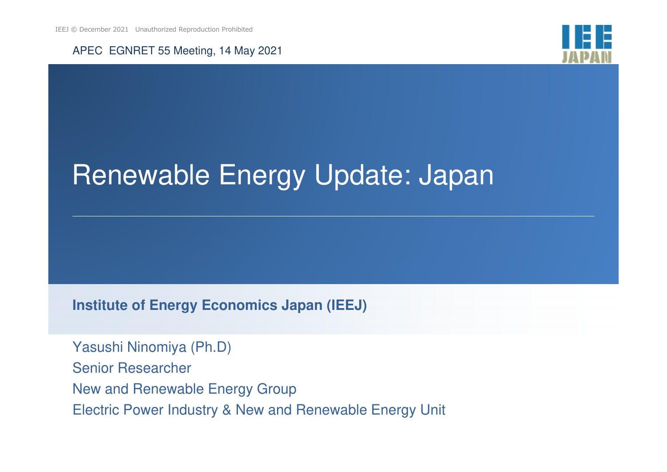



# Renewable Energy Update: Japan

**Institute of Energy Economics Japan (IEEJ)**

Yasushi Ninomiya (Ph.D)Senior ResearcherNew and Renewable Energy GroupElectric Power Industry & New and Renewable Energy Unit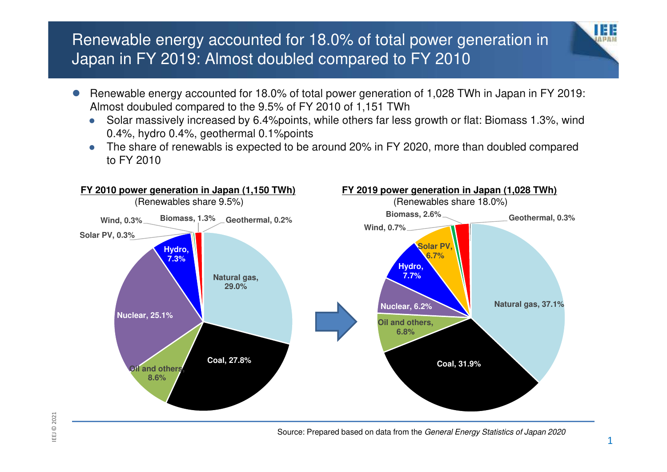#### Renewable energy accounted for 18.0% of total power generation in Japan in FY 2019: Almost doubled compared to FY 2010

- $\bullet$  Renewable energy accounted for 18.0% of total power generation of 1,028 TWh in Japan in FY 2019: Almost doubuled compared to the 9.5% of FY 2010 of 1,151 TWh
	- Solar massively increased by 6.4%points, while others far less growth or flat: Biomass 1.3%, wind  $\bullet$ 0.4%, hydro 0.4%, geothermal 0.1%points
	- The share of renewabls is expected to be around 20% in FY 2020, more than doubled compared  $\bullet$ to FY 2010



I E E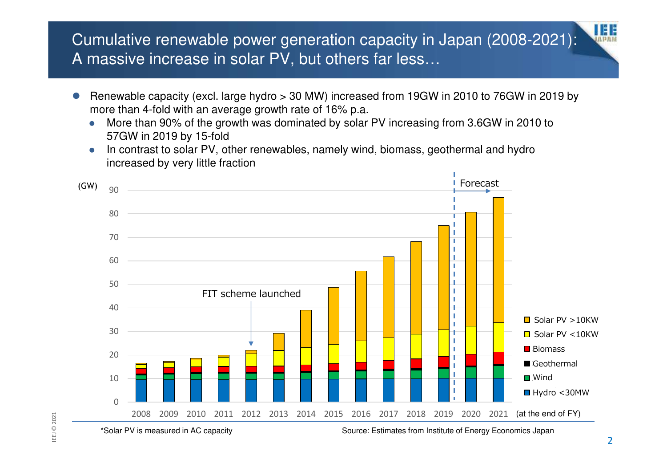#### Cumulative renewable power generation capacity in Japan (2008-2021): A massive increase in solar PV, but others far less…

- $\bullet$  Renewable capacity (excl. large hydro > 30 MW) increased from 19GW in 2010 to 76GW in 2019 by more than 4-fold with an average growth rate of 16% p.a.
	- More than 90% of the growth was dominated by solar PV increasing from 3.6GW in 2010 to  $\bullet$ 57GW in 2019 by 15-fold
	- In contrast to solar PV, other renewables, namely wind, biomass, geothermal and hydro  $\bullet$ increased by very little fraction



THE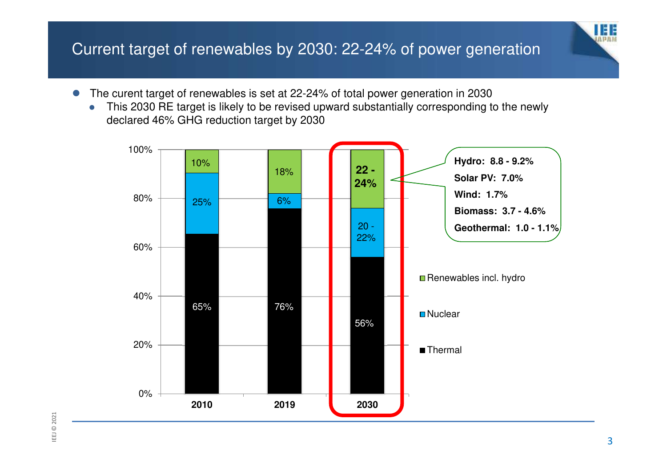#### Current target of renewables by 2030: 22-24% of power generation

- $\bullet$  The curent target of renewables is set at 22-24% of total power generation in 2030
	- $\bullet$  This 2030 RE target is likely to be revised upward substantially corresponding to the newly declared 46% GHG reduction target by 2030



u e e  $(1, 12, 11, 11)$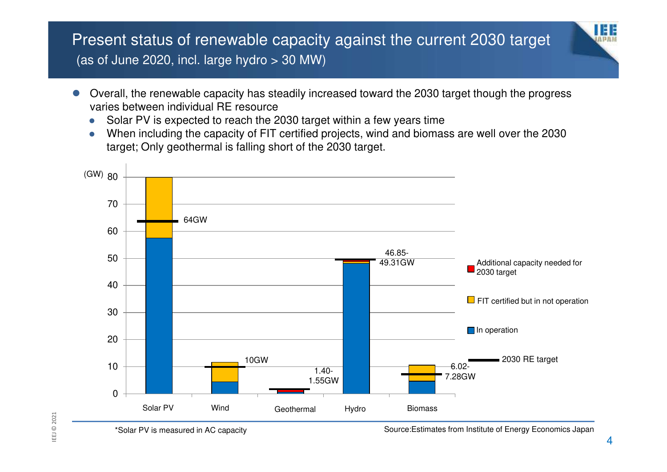#### Present status of renewable capacity against the current 2030 target (as of June 2020, incl. large hydro > 30 MW)

- $\bullet$  Overall, the renewable capacity has steadily increased toward the 2030 target though the progress varies between individual RE resource
	- Solar PV is expected to reach the 2030 target within a few years time  $\bullet$
	- $\bullet$  When including the capacity of FIT certified projects, wind and biomass are well over the 2030 target; Only geothermal is falling short of the 2030 target.



Source:Estimates from Institute of Energy Economics Japan

IEE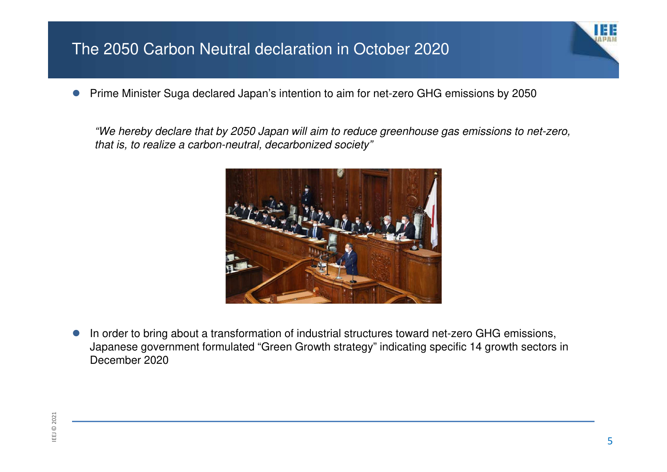#### The 2050 Carbon Neutral declaration in October 2020

 $\bullet$ Prime Minister Suga declared Japan's intention to aim for net-zero GHG emissions by 2050

"We hereby declare that by 2050 Japan will aim to reduce greenhouse gas emissions to net-zero, that is, to realize a carbon-neutral, decarbonized society"



 $\bullet$  In order to bring about a transformation of industrial structures toward net-zero GHG emissions, Japanese government formulated "Green Growth strategy" indicating specific 14 growth sectors in December 2020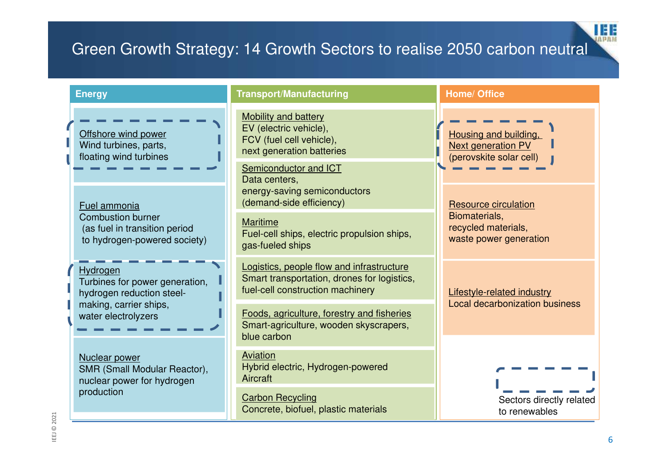## Green Growth Strategy: 14 Growth Sectors to realise 2050 carbon neutral

| <b>Energy</b>                                                                             | <b>Transport/Manufacturing</b>                                                                                               | <b>Home/ Office</b>                                                                                                                                                            |
|-------------------------------------------------------------------------------------------|------------------------------------------------------------------------------------------------------------------------------|--------------------------------------------------------------------------------------------------------------------------------------------------------------------------------|
| Offshore wind power<br>Wind turbines, parts,<br>floating wind turbines                    | <b>Mobility and battery</b><br>EV (electric vehicle),<br>FCV (fuel cell vehicle),<br>next generation batteries               | Housing and building.<br><b>Next generation PV</b><br>(perovskite solar cell)<br><b>Resource circulation</b><br>Biomaterials,<br>recycled materials,<br>waste power generation |
| Fuel ammonia                                                                              | Semiconductor and ICT<br>Data centers,<br>energy-saving semiconductors<br>(demand-side efficiency)                           |                                                                                                                                                                                |
| <b>Combustion burner</b><br>(as fuel in transition period<br>to hydrogen-powered society) | <b>Maritime</b><br>Fuel-cell ships, electric propulsion ships,<br>gas-fueled ships                                           |                                                                                                                                                                                |
| Hydrogen<br>Turbines for power generation,<br>hydrogen reduction steel-                   | Logistics, people flow and infrastructure<br>Smart transportation, drones for logistics,<br>fuel-cell construction machinery | <b>Lifestyle-related industry</b><br>Local decarbonization business                                                                                                            |
| making, carrier ships,<br>water electrolyzers                                             | Foods, agriculture, forestry and fisheries<br>Smart-agriculture, wooden skyscrapers,<br>blue carbon                          |                                                                                                                                                                                |
| Nuclear power<br>SMR (Small Modular Reactor),<br>nuclear power for hydrogen               | Aviation<br>Hybrid electric, Hydrogen-powered<br>Aircraft                                                                    | Sectors directly related<br>to renewables                                                                                                                                      |
| production                                                                                | <b>Carbon Recycling</b><br>Concrete, biofuel, plastic materials                                                              |                                                                                                                                                                                |

**IEE**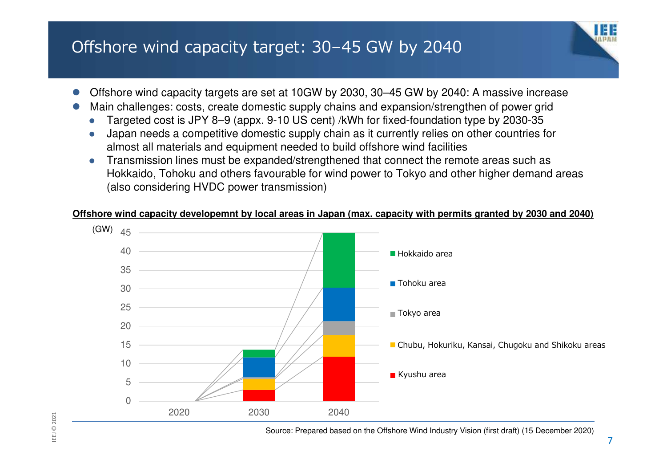# Offshore wind capacity target: 30–45 GW by 2040

- $\bullet$ Offshore wind capacity targets are set at 10GW by 2030, 30–45 GW by 2040: A massive increase
- $\bullet$  Main challenges: costs, create domestic supply chains and expansion/strengthen of power grid
	- $\bullet$ Targeted cost is JPY 8–9 (appx. 9-10 US cent) /kWh for fixed-foundation type by 2030-35
	- $\bullet$  Japan needs a competitive domestic supply chain as it currently relies on other countries for almost all materials and equipment needed to build offshore wind facilities
	- Transmission lines must be expanded/strengthened that connect the remote areas such as  $\bullet$ Hokkaido, Tohoku and others favourable for wind power to Tokyo and other higher demand areas (also considering HVDC power transmission)

#### **Offshore wind capacity developemnt by local areas in Japan (max. capacity with permits granted by 2030 and 2040)**



IEEJ © 2021 IEEJ © 2021

ш

Source: Prepared based on the Offshore Wind Industry Vision (first draft) (15 December 2020)